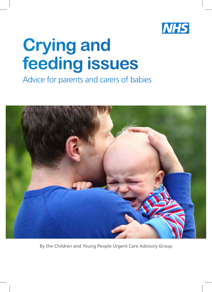

# **Crying and feeding issues**

# Advice for parents and carers of babies



By the Children and Young People Urgent Care Advisory Group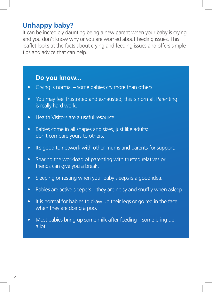### **Unhappy baby?**

It can be incredibly daunting being a new parent when your baby is crying and you don't know why or you are worried about feeding issues. This leaflet looks at the facts about crying and feeding issues and offers simple tips and advice that can help.

#### **Do you know...**

- Crying is normal some babies cry more than others.
- You may feel frustrated and exhausted; this is normal. Parenting is really hard work.
- Health Visitors are a useful resource.
- Babies come in all shapes and sizes, just like adults: don't compare yours to others.
- It's good to network with other mums and parents for support.
- Sharing the workload of parenting with trusted relatives or friends can give you a break.
- Sleeping or resting when your baby sleeps is a good idea.
- $\bullet$  Babies are active sleepers they are noisy and snuffly when asleep.
- It is normal for babies to draw up their legs or go red in the face when they are doing a poo.
- Most babies bring up some milk after feeding some bring up a lot.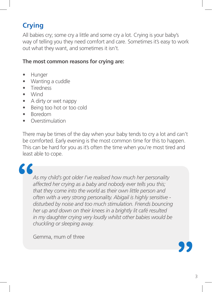# **Crying**

All babies cry; some cry a little and some cry a lot. Crying is your baby's way of telling you they need comfort and care. Sometimes it's easy to work out what they want, and sometimes it isn't.

#### **The most common reasons for crying are:**

- • Hunger
- Wanting a cuddle
- Tiredness
- • Wind
- A dirty or wet nappy
- Being too hot or too cold
- • Boredom
- **Overstimulation**

There may be times of the day when your baby tends to cry a lot and can't be comforted. Early evening is the most common time for this to happen. This can be hard for you as it's often the time when you're most tired and least able to cope.

# **"**

*As my child's got older I've realised how much her personality affected her crying as a baby and nobody ever tells you this; that they come into the world as their own little person and often with a very strong personality. Abigail is highly sensitive disturbed by noise and too much stimulation. Friends bouncing her up and down on their knees in a brightly lit café resulted in my daughter crying very loudly whilst other babies would be chuckling or sleeping away.* 

Gemma, mum of three

**"**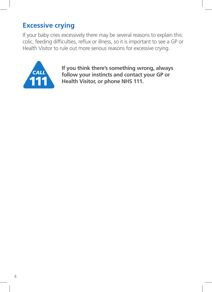# **Excessive crying**

If your baby cries excessively there may be several reasons to explain this: colic, feeding difficulties, reflux or illness, so it is important to see a GP or Health Visitor to rule out more serious reasons for excessive crying.



**If you think there's something wrong, always follow your instincts and contact your GP or Health Visitor, or phone NHS 111.**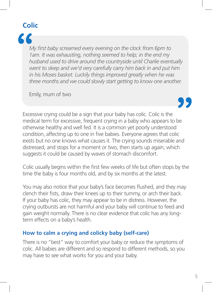# **Colic**



*My first baby screamed every evening on the clock from 6pm to 1am. It was exhausting, nothing seemed to help; in the end my husband used to drive around the countryside until Charlie eventually went to sleep and we'd very carefully carry him back in and put him in his Moses basket. Luckily things improved greatly when he was three months and we could slowly start getting to know one another.* 

Emily, mum of two

**"**

Excessive crying could be a sign that your baby has colic. Colic is the medical term for excessive, frequent crying in a baby who appears to be otherwise healthy and well fed. It is a common yet poorly understood condition, affecting up to one in five babies. Everyone agrees that colic exists but no one knows what causes it. The crying sounds miserable and distressed, and stops for a moment or two, then starts up again, which suggests it could be caused by waves of stomach discomfort.

Colic usually begins within the first few weeks of life but often stops by the time the baby is four months old, and by six months at the latest.

You may also notice that your baby's face becomes flushed, and they may clench their fists, draw their knees up to their tummy, or arch their back. If your baby has colic, they may appear to be in distress. However, the crying outbursts are not harmful and your baby will continue to feed and gain weight normally. There is no clear evidence that colic has any longterm effects on a baby's health.

#### **How to calm a crying and colicky baby (self-care)**

There is no "best" way to comfort your baby or reduce the symptoms of colic. All babies are different and so respond to different methods, so you may have to see what works for you and your baby.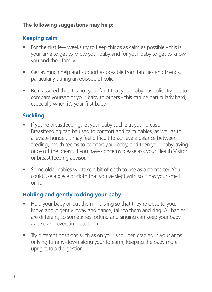#### **The following suggestions may help:**

#### **Keeping calm**

- For the first few weeks try to keep things as calm as possible this is your time to get to know your baby and for your baby to get to know you and their family.
- Get as much help and support as possible from families and friends, particularly during an episode of colic.
- Be reassured that it is not your fault that your baby has colic. Try not to compare yourself or your baby to others - this can be particularly hard, especially when it's your first baby.

#### **Suckling**

- If you're breastfeeding, let your baby suckle at your breast. Breastfeeding can be used to comfort and calm babies, as well as to alleviate hunger. It may feel difficult to achieve a balance between feeding, which seems to comfort your baby, and then your baby crying once off the breast. If you have concerns please ask your Health Visitor or breast feeding advisor.
- Some older babies will take a bit of cloth to use as a comforter. You could use a piece of cloth that you've slept with so it has your smell on it.

#### **Holding and gently rocking your baby**

- Hold your baby or put them in a sling so that they're close to you. Move about gently, sway and dance, talk to them and sing. All babies are different, so sometimes rocking and singing can keep your baby awake and overstimulate them.
- Try different positions such as on your shoulder, cradled in your arms or lying tummy-down along your forearm, keeping the baby more upright to aid digestion.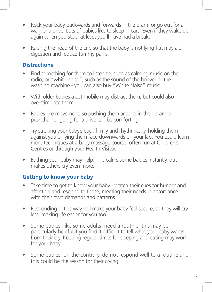- Rock your baby backwards and forwards in the pram, or go out for a walk or a drive. Lots of babies like to sleep in cars. Even if they wake up again when you stop, at least you'll have had a break.
- Raising the head of the crib so that the baby is not lying flat may aid digestion and reduce tummy pains.

#### **Distractions**

- Find something for them to listen to, such as calming music on the radio, or "white noise", such as the sound of the hoover or the washing machine - you can also buy "White Noise" music.
- With older babies a cot mobile may distract them, but could also overstimulate them.
- Babies like movement, so pushing them around in their pram or pushchair or going for a drive can be comforting.
- Try stroking your baby's back firmly and rhythmically, holding them against you or lying them face downwards on your lap. You could learn more techniques at a baby massage course, often run at Children's Centres or through your Health Visitor.
- Bathing your baby may help. This calms some babies instantly, but makes others cry even more.

#### **Getting to know your baby**

- Take time to get to know your baby watch their cues for hunger and affection and respond to those, meeting their needs in accordance with their own demands and patterns.
- Responding in this way will make your baby feel secure, so they will cry less, making life easier for you too.
- Some babies, like some adults, need a routine; this may be particularly helpful if you find it difficult to tell what your baby wants from their cry. Keeping regular times for sleeping and eating may work for your baby.
- Some babies, on the contrary, do not respond well to a routine and this could be the reason for their crying.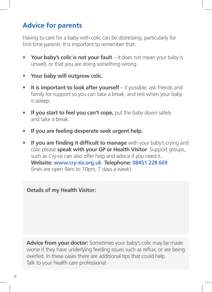# **Advice for parents**

Having to care for a baby with colic can be distressing, particularly for first-time parents. It is important to remember that:

- Your baby's colic is not your fault it does not mean your baby is unwell, or that you are doing something wrong.
- **• Your baby will outgrow colic.**
- **It is important to look after yourself** if possible, ask friends and family for support so you can take a break, and rest when your baby is asleep.
- If you start to feel you can't cope, put the baby down safely and take a break.
- **• If you are feeling desperate seek urgent help.**
- **If you are finding it difficult to manage** with your baby's crying and colic please **speak with your GP or Health Visitor**. Support groups, such as Cry-sis can also offer help and advice if you need it. **Website: www.cry-sis.org.uk Telephone: 08451 228 669** (lines are open 9am to 10pm, 7 days a week)

**Details of my Health Visitor:**

**Advice from your doctor:** Sometimes your baby's colic may be made worse if they have underlying feeding issues such as reflux, or are being overfed. In these cases there are additional tips that could help. Talk to your health care professional.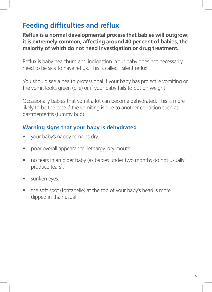# **Feeding difficulties and reflux**

**Reflux is a normal developmental process that babies will outgrow; it is extremely common, affecting around 40 per cent of babies, the majority of which do not need investigation or drug treatment.** 

Reflux is baby heartburn and indigestion. Your baby does not necessarily need to be sick to have reflux. This is called "silent reflux".

You should see a health professional if your baby has projectile vomiting or the vomit looks green (bile) or if your baby fails to put on weight.

Occasionally babies that vomit a lot can become dehydrated. This is more likely to be the case if the vomiting is due to another condition such as gastroenteritis (tummy bug).

#### **Warning signs that your baby is dehydrated**

- your baby's nappy remains dry.
- poor overall appearance, lethargy, dry mouth.
- no tears in an older baby (as babies under two months do not usually produce tears).
- sunken eyes.
- the soft spot (fontanelle) at the top of your baby's head is more dipped in than usual.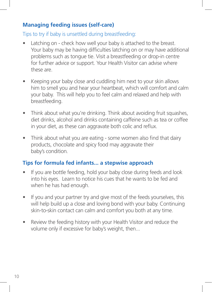#### **Managing feeding issues (self-care)**

Tips to try if baby is unsettled during breastfeeding:

- Latching on check how well your baby is attached to the breast. Your baby may be having difficulties latching on or may have additional problems such as tongue tie. Visit a breastfeeding or drop-in centre for further advice or support. Your Health Visitor can advise where these are.
- Keeping your baby close and cuddling him next to your skin allows him to smell you and hear your heartbeat, which will comfort and calm your baby. This will help you to feel calm and relaxed and help with breastfeeding.
- Think about what you're drinking. Think about avoiding fruit squashes, diet drinks, alcohol and drinks containing caffeine such as tea or coffee in your diet, as these can aggravate both colic and reflux.
- Think about what you are eating some women also find that dairy products, chocolate and spicy food may aggravate their baby's condition*.*

#### **Tips for formula fed infants... a stepwise approach**

- If you are bottle feeding, hold your baby close during feeds and look into his eyes. Learn to notice his cues that he wants to be fed and when he has had enough.
- If you and your partner try and give most of the feeds yourselves, this will help build up a close and loving bond with your baby. Continuing skin-to-skin contact can calm and comfort you both at any time.
- Review the feeding history with your Health Visitor and reduce the volume only if excessive for baby's weight, then...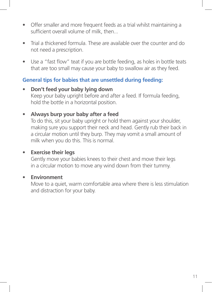- Offer smaller and more frequent feeds as a trial whilst maintaining a sufficient overall volume of milk, then...
- Trial a thickened formula. These are available over the counter and do not need a prescription.
- Use a "fast flow" teat if you are bottle feeding, as holes in bottle teats that are too small may cause your baby to swallow air as they feed.

#### **General tips for babies that are unsettled during feeding:**

- **• Don't feed your baby lying down** Keep your baby upright before and after a feed. If formula feeding, hold the bottle in a horizontal position.
- **• Always burp your baby after a feed**

To do this, sit your baby upright or hold them against your shoulder, making sure you support their neck and head. Gently rub their back in a circular motion until they burp. They may vomit a small amount of milk when you do this. This is normal.

#### **• Exercise their legs**

Gently move your babies knees to their chest and move their legs in a circular motion to move any wind down from their tummy.

#### **• Environment**

Move to a quiet, warm comfortable area where there is less stimulation and distraction for your baby.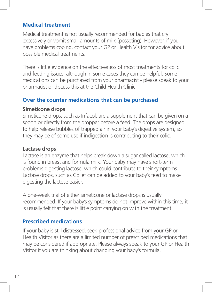#### **Medical treatment**

Medical treatment is not usually recommended for babies that cry excessively or vomit small amounts of milk (posseting). However, if you have problems coping, contact your GP or Health Visitor for advice about possible medical treatments.

There is little evidence on the effectiveness of most treatments for colic and feeding issues, although in some cases they can be helpful. Some medications can be purchased from your pharmacist - please speak to your pharmacist or discuss this at the Child Health Clinic.

#### **Over the counter medications that can be purchased**

#### **Simeticone drops**

Simeticone drops, such as Infacol, are a supplement that can be given on a spoon or directly from the dropper before a feed. The drops are designed to help release bubbles of trapped air in your baby's digestive system, so they may be of some use if indigestion is contributing to their colic.

#### **Lactase drops**

Lactase is an enzyme that helps break down a sugar called lactose, which is found in breast and formula milk. Your baby may have short-term problems digesting lactose, which could contribute to their symptoms. Lactase drops, such as Colief can be added to your baby's feed to make digesting the lactose easier.

A one-week trial of either simeticone or lactase drops is usually recommended. If your baby's symptoms do not improve within this time, it is usually felt that there is little point carrying on with the treatment.

#### **Prescribed medications**

If your baby is still distressed, seek professional advice from your GP or Health Visitor as there are a limited number of prescribed medications that may be considered if appropriate. Please always speak to your GP or Health Visitor if you are thinking about changing your baby's formula.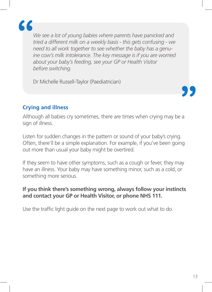

*We see a lot of young babies where parents have panicked and tried a different milk on a weekly basis - this gets confusing - we need to all work together to see whether the baby has a genuine cow's milk intolerance. The key message is if you are worried about your baby's feeding, see your GP or Health Visitor before switching.* 

Dr Michelle Russell-Taylor (Paediatrician)

#### **Crying and illness**

Although all babies cry sometimes, there are times when crying may be a sign of illness.

Listen for sudden changes in the pattern or sound of your baby's crying. Often, there'll be a simple explanation. For example, if you've been going out more than usual your baby might be overtired.

If they seem to have other symptoms, such as a cough or fever, they may have an illness. Your baby may have something minor, such as a cold, or something more serious.

#### **If you think there's something wrong, always follow your instincts and contact your GP or Health Visitor, or phone NHS 111.**

Use the traffic light guide on the next page to work out what to do.

**"**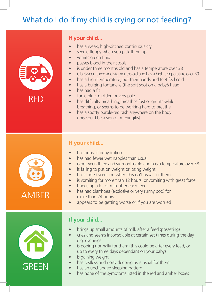# What do I do if my child is crying or not feeding?

|       | If your child                                                                                                                                                                                                                                                                                                                                                                                                                                                                                                                                                                                                                                                                                                                                                                                                        |
|-------|----------------------------------------------------------------------------------------------------------------------------------------------------------------------------------------------------------------------------------------------------------------------------------------------------------------------------------------------------------------------------------------------------------------------------------------------------------------------------------------------------------------------------------------------------------------------------------------------------------------------------------------------------------------------------------------------------------------------------------------------------------------------------------------------------------------------|
| REL   | has a weak, high-pitched continuous cry<br>seems floppy when you pick them up<br>$\bullet$<br>vomits green fluid<br>$\bullet$<br>passes blood in their stools<br>$\bullet$<br>is under three months old and has a temperature over 38<br>$\bullet$<br>is between three and six months old and has a high temperature over 39<br>$\bullet$<br>has a high temperature, but their hands and feet feel cold<br>$\bullet$<br>has a bulging fontanelle (the soft spot on a baby's head)<br>$\bullet$<br>has had a fit<br>$\bullet$<br>turns blue, mottled or very pale<br>$\bullet$<br>has difficulty breathing, breathes fast or grunts while<br>$\bullet$<br>breathing, or seems to be working hard to breathe<br>has a spotty purple-red rash anywhere on the body<br>$\bullet$<br>(this could be a sign of meningitis) |
|       | If your child                                                                                                                                                                                                                                                                                                                                                                                                                                                                                                                                                                                                                                                                                                                                                                                                        |
| AMBER | has signs of dehydration<br>has had fewer wet nappies than usual<br>is between three and six months old and has a temperature over 38<br>$\bullet$<br>is failing to put on weight or losing weight<br>$\bullet$<br>has started vomiting when this isn't usual for them<br>$\bullet$<br>is vomiting for more than 12 hours, or vomiting with great force.<br>$\bullet$<br>brings up a lot of milk after each feed<br>$\bullet$<br>has had diarrhoea (explosive or very runny poo) for<br>$\bullet$<br>more than 24 hours<br>appears to be getting worse or if you are worried                                                                                                                                                                                                                                         |
|       | If your child                                                                                                                                                                                                                                                                                                                                                                                                                                                                                                                                                                                                                                                                                                                                                                                                        |
|       | brings up small amounts of milk after a feed (posseting)<br>cries and seems inconsolable at certain set times during the day<br>e.g. evenings<br>is pooing normally for them (this could be after every feed, or<br>up to every three days dependant on your baby)                                                                                                                                                                                                                                                                                                                                                                                                                                                                                                                                                   |

- e.g. evenings • is pooing normally for them (this could be after every feed, or up to every three days dependant on your baby)
- is gaining weight

**GREEN** 

- has restless and noisy sleeping as is usual for them
- has an unchanged sleeping pattern
- has none of the symptoms listed in the red and amber boxes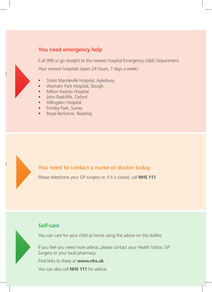#### **You need emergency help**

Call 999 or go straight to the nearest hospital Emergency (A&E) Department. Your nearest hospitals (open 24 hours, 7 days a week):

- Stoke Mandeville Hospital, Aylesbury
- Wexham Park Hospital, Slough
- **Milton Keynes Hospital**
- John Radcliffe, Oxford
- Hillingdon Hospital
- **Frimley Park, Surrey**
- Royal Berkshire, Reading

#### **You need to contact a nurse or doctor today**

Please telephone your GP surgery or, if it is closed, call **NHS 111**.

#### **Self-care**

You can care for your child at home using the advice on this leaflet.

If you feel you need more advice, please contact your Health Visitor, GP Surgery or your local pharmacy.

Find links to these at **www.nhs.uk**

You can also call **NHS 111** for advice.